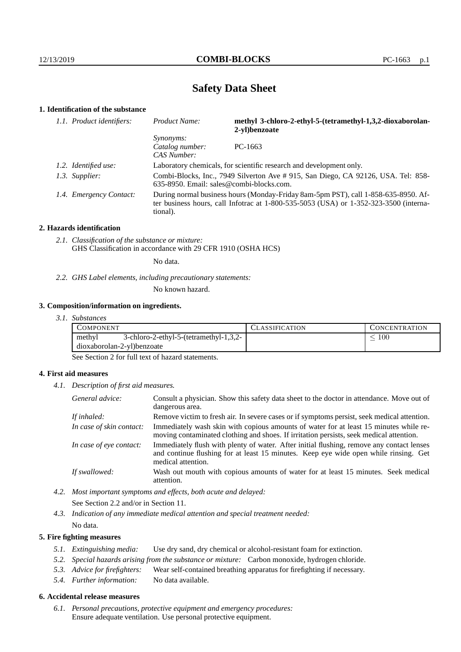# **Safety Data Sheet**

# **1. Identification of the substance**

| 1.1. Product identifiers: | Product Name:                                                                                                                                                                           | methyl 3-chloro-2-ethyl-5-(tetramethyl-1,3,2-dioxaborolan-<br>2-yl)benzoate |
|---------------------------|-----------------------------------------------------------------------------------------------------------------------------------------------------------------------------------------|-----------------------------------------------------------------------------|
|                           | Synonyms:<br>Catalog number:<br>CAS Number:                                                                                                                                             | PC-1663                                                                     |
| 1.2. Identified use:      | Laboratory chemicals, for scientific research and development only.                                                                                                                     |                                                                             |
| 1.3. Supplier:            | Combi-Blocks, Inc., 7949 Silverton Ave # 915, San Diego, CA 92126, USA. Tel: 858-<br>635-8950. Email: sales@combi-blocks.com.                                                           |                                                                             |
| 1.4. Emergency Contact:   | During normal business hours (Monday-Friday 8am-5pm PST), call 1-858-635-8950. Af-<br>ter business hours, call Infotrac at 1-800-535-5053 (USA) or 1-352-323-3500 (interna-<br>tional). |                                                                             |

#### **2. Hazards identification**

*2.1. Classification of the substance or mixture:* GHS Classification in accordance with 29 CFR 1910 (OSHA HCS)

No data.

*2.2. GHS Label elements, including precautionary statements:*

No known hazard.

### **3. Composition/information on ingredients.**

*3.1. Substances*

|                            | COMPONENT |                                           | <b>LASSIFICATION</b> | CONCENTRATION |
|----------------------------|-----------|-------------------------------------------|----------------------|---------------|
|                            | methyl    | $3$ -chloro-2-ethyl-5-(tetramethyl-1,3,2- |                      | 100           |
| dioxaborolan-2-yl)benzoate |           |                                           |                      |               |

See Section 2 for full text of hazard statements.

## **4. First aid measures**

*4.1. Description of first aid measures.*

| General advice:          | Consult a physician. Show this safety data sheet to the doctor in attendance. Move out of<br>dangerous area.                                                                                            |
|--------------------------|---------------------------------------------------------------------------------------------------------------------------------------------------------------------------------------------------------|
| If inhaled:              | Remove victim to fresh air. In severe cases or if symptoms persist, seek medical attention.                                                                                                             |
| In case of skin contact: | Immediately wash skin with copious amounts of water for at least 15 minutes while re-<br>moving contaminated clothing and shoes. If irritation persists, seek medical attention.                        |
| In case of eye contact:  | Immediately flush with plenty of water. After initial flushing, remove any contact lenses<br>and continue flushing for at least 15 minutes. Keep eye wide open while rinsing. Get<br>medical attention. |
| If swallowed:            | Wash out mouth with copious amounts of water for at least 15 minutes. Seek medical<br>attention.                                                                                                        |

- *4.2. Most important symptoms and effects, both acute and delayed:* See Section 2.2 and/or in Section 11.
- *4.3. Indication of any immediate medical attention and special treatment needed:* No data.

## **5. Fire fighting measures**

- *5.1. Extinguishing media:* Use dry sand, dry chemical or alcohol-resistant foam for extinction.
- *5.2. Special hazards arising from the substance or mixture:* Carbon monoxide, hydrogen chloride.
- *5.3. Advice for firefighters:* Wear self-contained breathing apparatus for firefighting if necessary.
- *5.4. Further information:* No data available.

## **6. Accidental release measures**

*6.1. Personal precautions, protective equipment and emergency procedures:* Ensure adequate ventilation. Use personal protective equipment.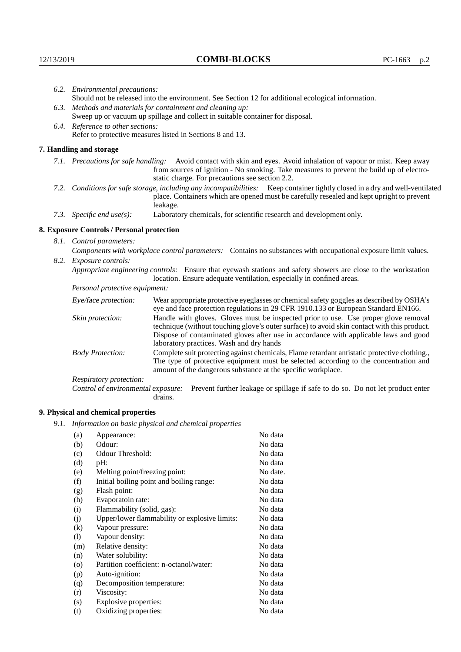| 6.2. Environmental precautions:                             |                                                                                                                                                                                                                                                                    |                                                                                                                                                                                                                                                                                                                        |  |
|-------------------------------------------------------------|--------------------------------------------------------------------------------------------------------------------------------------------------------------------------------------------------------------------------------------------------------------------|------------------------------------------------------------------------------------------------------------------------------------------------------------------------------------------------------------------------------------------------------------------------------------------------------------------------|--|
|                                                             | Should not be released into the environment. See Section 12 for additional ecological information.                                                                                                                                                                 |                                                                                                                                                                                                                                                                                                                        |  |
| 6.3. Methods and materials for containment and cleaning up: |                                                                                                                                                                                                                                                                    |                                                                                                                                                                                                                                                                                                                        |  |
|                                                             |                                                                                                                                                                                                                                                                    | Sweep up or vacuum up spillage and collect in suitable container for disposal.                                                                                                                                                                                                                                         |  |
|                                                             | 6.4. Reference to other sections:                                                                                                                                                                                                                                  |                                                                                                                                                                                                                                                                                                                        |  |
|                                                             |                                                                                                                                                                                                                                                                    | Refer to protective measures listed in Sections 8 and 13.                                                                                                                                                                                                                                                              |  |
|                                                             | 7. Handling and storage                                                                                                                                                                                                                                            |                                                                                                                                                                                                                                                                                                                        |  |
|                                                             | 7.1. Precautions for safe handling: Avoid contact with skin and eyes. Avoid inhalation of vapour or mist. Keep away<br>from sources of ignition - No smoking. Take measures to prevent the build up of electro-<br>static charge. For precautions see section 2.2. |                                                                                                                                                                                                                                                                                                                        |  |
|                                                             |                                                                                                                                                                                                                                                                    | 7.2. Conditions for safe storage, including any incompatibilities: Keep container tightly closed in a dry and well-ventilated<br>place. Containers which are opened must be carefully resealed and kept upright to prevent<br>leakage.                                                                                 |  |
|                                                             | 7.3. Specific end $use(s)$ :                                                                                                                                                                                                                                       | Laboratory chemicals, for scientific research and development only.                                                                                                                                                                                                                                                    |  |
|                                                             | 8. Exposure Controls / Personal protection                                                                                                                                                                                                                         |                                                                                                                                                                                                                                                                                                                        |  |
|                                                             | 8.1. Control parameters:                                                                                                                                                                                                                                           |                                                                                                                                                                                                                                                                                                                        |  |
|                                                             | Components with workplace control parameters: Contains no substances with occupational exposure limit values.                                                                                                                                                      |                                                                                                                                                                                                                                                                                                                        |  |
|                                                             | 8.2. Exposure controls:                                                                                                                                                                                                                                            |                                                                                                                                                                                                                                                                                                                        |  |
|                                                             |                                                                                                                                                                                                                                                                    | Appropriate engineering controls: Ensure that eyewash stations and safety showers are close to the workstation<br>location. Ensure adequate ventilation, especially in confined areas.                                                                                                                                 |  |
|                                                             | Personal protective equipment:                                                                                                                                                                                                                                     |                                                                                                                                                                                                                                                                                                                        |  |
|                                                             | Eye/face protection:                                                                                                                                                                                                                                               | Wear appropriate protective eyeglasses or chemical safety goggles as described by OSHA's<br>eye and face protection regulations in 29 CFR 1910.133 or European Standard EN166.                                                                                                                                         |  |
|                                                             | Skin protection:                                                                                                                                                                                                                                                   | Handle with gloves. Gloves must be inspected prior to use. Use proper glove removal<br>technique (without touching glove's outer surface) to avoid skin contact with this product.<br>Dispose of contaminated gloves after use in accordance with applicable laws and good<br>laboratory practices. Wash and dry hands |  |
|                                                             | <b>Body Protection:</b>                                                                                                                                                                                                                                            | Complete suit protecting against chemicals, Flame retardant antistatic protective clothing.,<br>The type of protective equipment must be selected according to the concentration and<br>amount of the dangerous substance at the specific workplace.                                                                   |  |
|                                                             | Respiratory protection:                                                                                                                                                                                                                                            |                                                                                                                                                                                                                                                                                                                        |  |

Control of environmental exposure: Prevent further leakage or spillage if safe to do so. Do not let product enter drains.

# **9. Physical and chemical properties**

*9.1. Information on basic physical and chemical properties*

| (a)                        | Appearance:                                   | No data  |
|----------------------------|-----------------------------------------------|----------|
| (b)                        | Odour:                                        | No data  |
| (c)                        | Odour Threshold:                              | No data  |
| (d)                        | pH:                                           | No data  |
| (e)                        | Melting point/freezing point:                 | No date. |
| (f)                        | Initial boiling point and boiling range:      | No data  |
| (g)                        | Flash point:                                  | No data  |
| (h)                        | Evaporatoin rate:                             | No data  |
| (i)                        | Flammability (solid, gas):                    | No data  |
| (j)                        | Upper/lower flammability or explosive limits: | No data  |
| $\rm(k)$                   | Vapour pressure:                              | No data  |
| $\left( \mathrm{l}\right)$ | Vapour density:                               | No data  |
| (m)                        | Relative density:                             | No data  |
| (n)                        | Water solubility:                             | No data  |
| $\rm (o)$                  | Partition coefficient: n-octanol/water:       | No data  |
| (p)                        | Auto-ignition:                                | No data  |
| (q)                        | Decomposition temperature:                    | No data  |
| (r)                        | Viscosity:                                    | No data  |
| (s)                        | Explosive properties:                         | No data  |
| (t)                        | Oxidizing properties:                         | No data  |